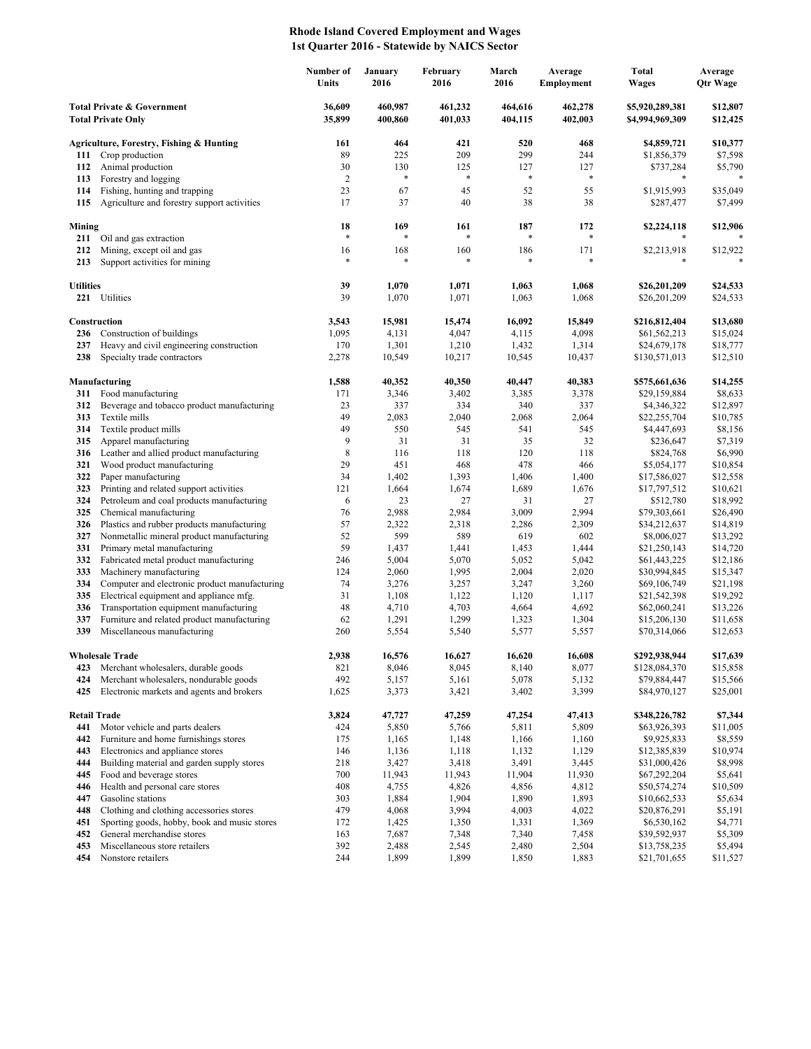## **Rhode Island Covered Employment and Wages 1st Quarter 2016 - Statewide by NAICS Sector**

|                                                                    |                                                                          | Number of<br>Units | January<br>2016    | February<br>2016   | March<br>2016      | Average<br><b>Employment</b> | <b>Total</b><br><b>Wages</b>       | Average<br>Qtr Wage  |
|--------------------------------------------------------------------|--------------------------------------------------------------------------|--------------------|--------------------|--------------------|--------------------|------------------------------|------------------------------------|----------------------|
| <b>Total Private &amp; Government</b><br><b>Total Private Only</b> |                                                                          | 36,609<br>35,899   | 460,987<br>400,860 | 461,232<br>401,033 | 464,616<br>404,115 | 462,278<br>402,003           | \$5,920,289,381<br>\$4,994,969,309 | \$12,807<br>\$12,425 |
|                                                                    | Agriculture, Forestry, Fishing & Hunting                                 | 161                | 464                | 421                | 520                | 468                          | \$4,859,721                        | \$10,377             |
| 111                                                                | Crop production                                                          | 89                 | 225                | 209                | 299                | 244                          | \$1,856,379                        | \$7,598              |
| 112                                                                | Animal production                                                        | 30                 | 130                | 125                | 127                | 127                          | \$737,284                          | \$5,790              |
| 113                                                                | Forestry and logging                                                     | $\sqrt{2}$         | $\ast$             | *                  | $\ast$             | $\ast$                       | *                                  |                      |
| 114                                                                | Fishing, hunting and trapping                                            | 23                 | 67                 | 45                 | 52                 | 55                           | \$1,915,993                        | \$35,049             |
| 115                                                                | Agriculture and forestry support activities                              | 17                 | 37                 | 40                 | 38                 | 38                           | \$287,477                          | \$7,499              |
| Mining                                                             |                                                                          | 18                 | 169                | 161                | 187                | 172                          | \$2,224,118                        | \$12,906             |
| 211                                                                | Oil and gas extraction                                                   | $\ast$             | $\ast$             | *                  | $\ast$             | *                            |                                    |                      |
| 212                                                                | Mining, except oil and gas                                               | 16                 | 168                | 160                | 186                | 171                          | \$2,213,918                        | \$12,922             |
| 213                                                                | Support activities for mining                                            | $\ast$             | *                  | *                  | $\ast$             | *                            | *                                  |                      |
| <b>Utilities</b>                                                   |                                                                          | 39                 | 1,070              | 1,071              | 1,063              | 1,068                        | \$26,201,209                       | \$24,533             |
|                                                                    | 221 Utilities                                                            | 39                 | 1,070              | 1,071              | 1,063              | 1,068                        | \$26,201,209                       | \$24,533             |
|                                                                    |                                                                          |                    |                    |                    |                    |                              |                                    |                      |
|                                                                    | Construction                                                             | 3,543              | 15,981             | 15,474             | 16,092             | 15,849                       | \$216,812,404                      | \$13,680             |
| 236                                                                | Construction of buildings                                                | 1,095              | 4,131              | 4,047              | 4,115              | 4,098                        | \$61,562,213                       | \$15,024             |
| 237<br>238                                                         | Heavy and civil engineering construction                                 | 170                | 1,301              | 1,210              | 1,432              | 1,314                        | \$24,679,178                       | \$18,777             |
|                                                                    | Specialty trade contractors                                              | 2,278              | 10,549             | 10,217             | 10,545             | 10,437                       | \$130,571,013                      | \$12,510             |
|                                                                    | Manufacturing                                                            | 1,588              | 40,352             | 40,350             | 40,447             | 40,383                       | \$575,661,636                      | \$14,255             |
| 311                                                                | Food manufacturing                                                       | 171                | 3,346              | 3,402              | 3,385              | 3,378                        | \$29,159,884                       | \$8,633              |
| 312                                                                | Beverage and tobacco product manufacturing                               | 23                 | 337                | 334                | 340                | 337                          | \$4,346,322                        | \$12,897             |
| 313                                                                | Textile mills                                                            | 49                 | 2,083              | 2,040              | 2,068              | 2,064                        | \$22,255,704                       | \$10,785             |
| 314                                                                | Textile product mills                                                    | 49                 | 550                | 545                | 541                | 545                          | \$4,447,693                        | \$8,156              |
| 315<br>316                                                         | Apparel manufacturing<br>Leather and allied product manufacturing        | 9<br>$\,$ 8 $\,$   | 31<br>116          | 31<br>118          | 35<br>120          | 32<br>118                    | \$236,647<br>\$824,768             | \$7,319<br>\$6,990   |
| 321                                                                | Wood product manufacturing                                               | 29                 | 451                | 468                | 478                | 466                          | \$5,054,177                        | \$10,854             |
| 322                                                                | Paper manufacturing                                                      | 34                 | 1,402              | 1,393              | 1,406              | 1,400                        | \$17,586,027                       | \$12,558             |
| 323                                                                | Printing and related support activities                                  | 121                | 1,664              | 1,674              | 1,689              | 1,676                        | \$17,797,512                       | \$10,621             |
| 324                                                                | Petroleum and coal products manufacturing                                | 6                  | 23                 | 27                 | 31                 | 27                           | \$512,780                          | \$18,992             |
| 325                                                                | Chemical manufacturing                                                   | 76                 | 2,988              | 2,984              | 3,009              | 2,994                        | \$79,303,661                       | \$26,490             |
| 326                                                                | Plastics and rubber products manufacturing                               | 57                 | 2,322              | 2,318              | 2,286              | 2,309                        | \$34,212,637                       | \$14,819             |
| 327<br>331                                                         | Nonmetallic mineral product manufacturing<br>Primary metal manufacturing | 52<br>59           | 599<br>1,437       | 589<br>1,441       | 619<br>1,453       | 602<br>1,444                 | \$8,006,027                        | \$13,292<br>\$14,720 |
| 332                                                                | Fabricated metal product manufacturing                                   | 246                | 5,004              | 5,070              | 5,052              | 5,042                        | \$21,250,143<br>\$61,443,225       | \$12,186             |
| 333                                                                | Machinery manufacturing                                                  | 124                | 2,060              | 1,995              | 2,004              | 2,020                        | \$30,994,845                       | \$15,347             |
| 334                                                                | Computer and electronic product manufacturing                            | 74                 | 3,276              | 3,257              | 3,247              | 3,260                        | \$69,106,749                       | \$21,198             |
| 335                                                                | Electrical equipment and appliance mfg.                                  | 31                 | 1,108              | 1,122              | 1,120              | 1,117                        | \$21,542,398                       | \$19,292             |
| 336                                                                | Transportation equipment manufacturing                                   | 48                 | 4,710              | 4,703              | 4,664              | 4,692                        | \$62,060,241                       | \$13,226             |
| 337                                                                | Furniture and related product manufacturing                              | 62                 | 1,291              | 1,299              | 1,323              | 1,304                        | \$15,206,130                       | \$11,658             |
| 339                                                                | Miscellaneous manufacturing                                              | 260                | 5,554              | 5,540              | 5,577              | 5,557                        | \$70,314,066                       | \$12,653             |
|                                                                    | <b>Wholesale Trade</b>                                                   | 2,938              | 16,576             | 16.627             | 16,620             | 16.608                       | \$292,938,944                      | \$17,639             |
| 423                                                                | Merchant wholesalers, durable goods                                      | 821                | 8,046              | 8,045              | 8,140              | 8,077                        | \$128,084,370                      | \$15,858             |
| 424                                                                | Merchant wholesalers, nondurable goods                                   | 492                | 5,157              | 5,161              | 5,078              | 5,132                        | \$79,884,447                       | \$15,566             |
| 425                                                                | Electronic markets and agents and brokers                                | 1,625              | 3,373              | 3,421              | 3,402              | 3,399                        | \$84,970,127                       | \$25,001             |
| <b>Retail Trade</b>                                                |                                                                          | 3,824              | 47,727             | 47,259             | 47,254             | 47,413                       | \$348,226,782                      | \$7,344              |
| 441                                                                | Motor vehicle and parts dealers                                          | 424                | 5,850              | 5,766              | 5,811              | 5,809                        | \$63,926,393                       | \$11,005             |
| 442                                                                | Furniture and home furnishings stores                                    | 175                | 1,165              | 1,148              | 1,166              | 1,160                        | \$9,925,833                        | \$8,559              |
| 443                                                                | Electronics and appliance stores                                         | 146                | 1,136              | 1,118              | 1,132              | 1,129                        | \$12,385,839                       | \$10,974             |
| 444                                                                | Building material and garden supply stores                               | 218                | 3,427              | 3,418              | 3,491              | 3,445                        | \$31,000,426                       | \$8,998              |
| 445                                                                | Food and beverage stores                                                 | 700                | 11,943             | 11,943             | 11,904             | 11,930                       | \$67,292,204                       | \$5,641              |
| 446                                                                | Health and personal care stores                                          | 408                | 4,755              | 4,826              | 4,856              | 4,812                        | \$50,574,274                       | \$10,509             |
| 447<br>448                                                         | Gasoline stations<br>Clothing and clothing accessories stores            | 303<br>479         | 1,884<br>4,068     | 1,904<br>3,994     | 1,890<br>4,003     | 1,893<br>4,022               | \$10,662,533<br>\$20,876,291       | \$5,634<br>\$5,191   |
| 451                                                                | Sporting goods, hobby, book and music stores                             | 172                | 1,425              | 1,350              | 1,331              | 1,369                        | \$6,530,162                        | \$4,771              |
| 452                                                                | General merchandise stores                                               | 163                | 7,687              | 7,348              | 7,340              | 7,458                        | \$39,592,937                       | \$5,309              |
| 453                                                                | Miscellaneous store retailers                                            | 392                | 2,488              | 2,545              | 2,480              | 2,504                        | \$13,758,235                       | \$5,494              |
| 454                                                                | Nonstore retailers                                                       | 244                | 1,899              | 1,899              | 1,850              | 1,883                        | \$21,701,655                       | \$11,527             |